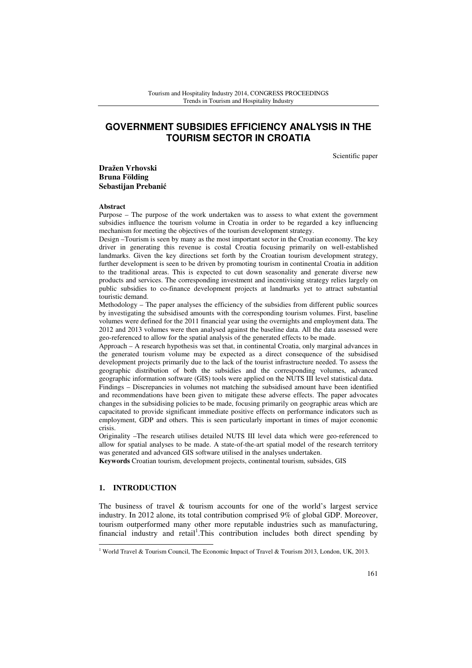# **GOVERNMENT SUBSIDIES EFFICIENCY ANALYSIS IN THE TOURISM SECTOR IN CROATIA**

Scientific paper

**Dražen Vrhovski Bruna Földing Sebastijan Prebani**ć

#### **Abstract**

Purpose – The purpose of the work undertaken was to assess to what extent the government subsidies influence the tourism volume in Croatia in order to be regarded a key influencing mechanism for meeting the objectives of the tourism development strategy.

Design –Tourism is seen by many as the most important sector in the Croatian economy. The key driver in generating this revenue is costal Croatia focusing primarily on well-established landmarks. Given the key directions set forth by the Croatian tourism development strategy, further development is seen to be driven by promoting tourism in continental Croatia in addition to the traditional areas. This is expected to cut down seasonality and generate diverse new products and services. The corresponding investment and incentivising strategy relies largely on public subsidies to co-finance development projects at landmarks yet to attract substantial touristic demand.

Methodology – The paper analyses the efficiency of the subsidies from different public sources by investigating the subsidised amounts with the corresponding tourism volumes. First, baseline volumes were defined for the 2011 financial year using the overnights and employment data. The 2012 and 2013 volumes were then analysed against the baseline data. All the data assessed were geo-referenced to allow for the spatial analysis of the generated effects to be made.

Approach – A research hypothesis was set that, in continental Croatia, only marginal advances in the generated tourism volume may be expected as a direct consequence of the subsidised development projects primarily due to the lack of the tourist infrastructure needed. To assess the geographic distribution of both the subsidies and the corresponding volumes, advanced geographic information software (GIS) tools were applied on the NUTS III level statistical data.

Findings – Discrepancies in volumes not matching the subsidised amount have been identified and recommendations have been given to mitigate these adverse effects. The paper advocates changes in the subsidising policies to be made, focusing primarily on geographic areas which are capacitated to provide significant immediate positive effects on performance indicators such as employment, GDP and others. This is seen particularly important in times of major economic crisis.

Originality –The research utilises detailed NUTS III level data which were geo-referenced to allow for spatial analyses to be made. A state-of-the-art spatial model of the research territory was generated and advanced GIS software utilised in the analyses undertaken.

**Keywords** Croatian tourism, development projects, continental tourism, subsides, GIS

## **1. INTRODUCTION**

l

The business of travel & tourism accounts for one of the world's largest service industry. In 2012 alone, its total contribution comprised 9% of global GDP. Moreover, tourism outperformed many other more reputable industries such as manufacturing, financial industry and retail<sup>1</sup>. This contribution includes both direct spending by

<sup>1</sup> World Travel & Tourism Council, The Economic Impact of Travel & Tourism 2013, London, UK, 2013.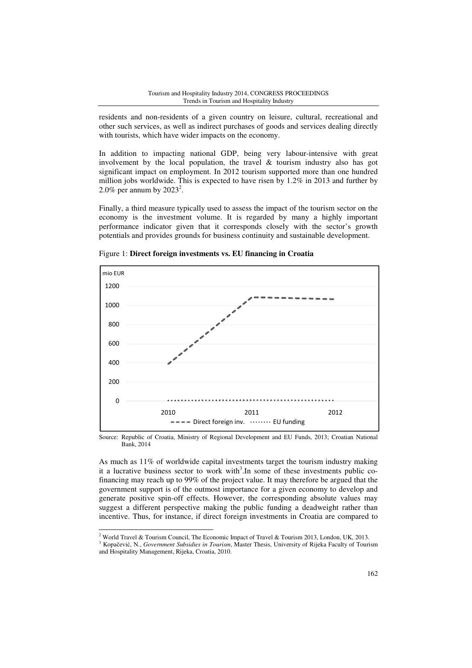residents and non-residents of a given country on leisure, cultural, recreational and other such services, as well as indirect purchases of goods and services dealing directly with tourists, which have wider impacts on the economy.

In addition to impacting national GDP, being very labour-intensive with great involvement by the local population, the travel  $\&$  tourism industry also has got significant impact on employment. In 2012 tourism supported more than one hundred million jobs worldwide. This is expected to have risen by 1.2% in 2013 and further by 2.0% per annum by  $2023^2$ .

Finally, a third measure typically used to assess the impact of the tourism sector on the economy is the investment volume. It is regarded by many a highly important performance indicator given that it corresponds closely with the sector's growth potentials and provides grounds for business continuity and sustainable development.



Figure 1: **Direct foreign investments vs. EU financing in Croatia** 

Source: Republic of Croatia, Ministry of Regional Development and EU Funds, 2013; Croatian National Bank, 2014

As much as 11% of worldwide capital investments target the tourism industry making it a lucrative business sector to work with<sup>3</sup>. In some of these investments public cofinancing may reach up to 99% of the project value. It may therefore be argued that the government support is of the outmost importance for a given economy to develop and generate positive spin-off effects. However, the corresponding absolute values may suggest a different perspective making the public funding a deadweight rather than incentive. Thus, for instance, if direct foreign investments in Croatia are compared to

 2 World Travel & Tourism Council, The Economic Impact of Travel & Tourism 2013, London, UK, 2013.

<sup>3</sup> Kopačević, N., *Government Subsidies in Tourism*, Master Thesis, University of Rijeka Faculty of Tourism and Hospitality Management, Rijeka, Croatia, 2010.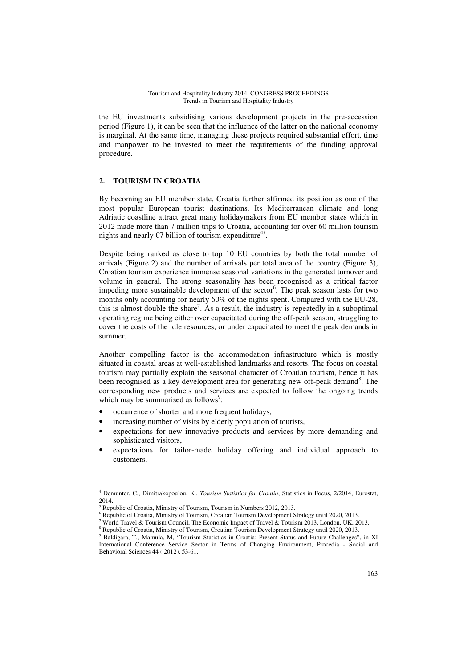the EU investments subsidising various development projects in the pre-accession period (Figure 1), it can be seen that the influence of the latter on the national economy is marginal. At the same time, managing these projects required substantial effort, time and manpower to be invested to meet the requirements of the funding approval procedure.

## **2. TOURISM IN CROATIA**

By becoming an EU member state, Croatia further affirmed its position as one of the most popular European tourist destinations. Its Mediterranean climate and long Adriatic coastline attract great many holidaymakers from EU member states which in 2012 made more than 7 million trips to Croatia, accounting for over 60 million tourism nights and nearly  $\epsilon$ 7 billion of tourism expenditure<sup>45</sup>.

Despite being ranked as close to top 10 EU countries by both the total number of arrivals (Figure 2) and the number of arrivals per total area of the country (Figure 3), Croatian tourism experience immense seasonal variations in the generated turnover and volume in general. The strong seasonality has been recognised as a critical factor impeding more sustainable development of the sector<sup>6</sup>. The peak season lasts for two months only accounting for nearly 60% of the nights spent. Compared with the EU-28, this is almost double the share<sup>7</sup>. As a result, the industry is repeatedly in a suboptimal operating regime being either over capacitated during the off-peak season, struggling to cover the costs of the idle resources, or under capacitated to meet the peak demands in summer.

Another compelling factor is the accommodation infrastructure which is mostly situated in coastal areas at well-established landmarks and resorts. The focus on coastal tourism may partially explain the seasonal character of Croatian tourism, hence it has been recognised as a key development area for generating new off-peak demand<sup>8</sup>. The corresponding new products and services are expected to follow the ongoing trends which may be summarised as follows<sup>9</sup>:

- occurrence of shorter and more frequent holidays,
- increasing number of visits by elderly population of tourists,
- expectations for new innovative products and services by more demanding and sophisticated visitors,
- expectations for tailor-made holiday offering and individual approach to customers,

 4 Demunter, C., Dimitrakopoulou, K., *Tourism Statistics for Croatia*, Statistics in Focus, 2/2014, Eurostat, 2014.

<sup>5</sup> Republic of Croatia, Ministry of Tourism, Tourism in Numbers 2012, 2013.

<sup>6</sup> Republic of Croatia, Ministry of Tourism, Croatian Tourism Development Strategy until 2020, 2013.

<sup>7</sup> World Travel & Tourism Council, The Economic Impact of Travel & Tourism 2013, London, UK, 2013.

<sup>8</sup> Republic of Croatia, Ministry of Tourism, Croatian Tourism Development Strategy until 2020, 2013.

<sup>9</sup> Baldigara, T., Mamula, M, "Tourism Statistics in Croatia: Present Status and Future Challenges", in XI International Conference Service Sector in Terms of Changing Environment, Procedia - Social and Behavioral Sciences 44 ( 2012), 53-61.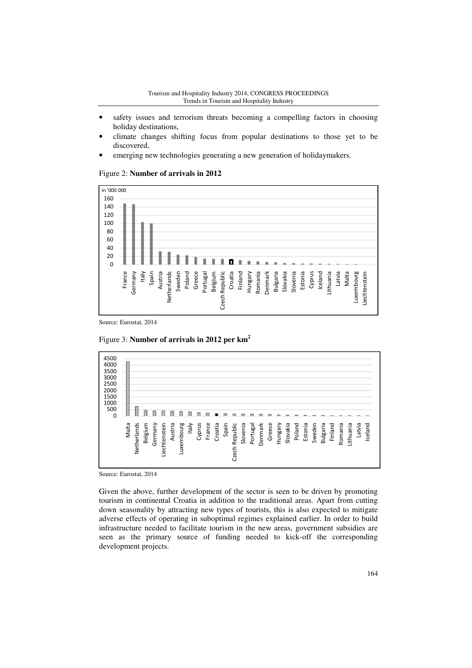#### Tourism and Hospitality Industry 2014, CONGRESS PROCEEDINGS Trends in Tourism and Hospitality Industry

- safety issues and terrorism threats becoming a compelling factors in choosing holiday destinations,
- climate changes shifting focus from popular destinations to those yet to be discovered,
- emerging new technologies generating a new generation of holidaymakers.

#### in '000 000 160 140 120 100 80 60 40 20 п  $\theta$ France Austria Belgium<br>Czech Republic Croatia Finland Denmark Slovenia Estonia Cyprus Iceland Lithuania Latvia Malta Italy Spain **Germany** Netherlands Sweden Poland Greece Portugal Czech Republic Hungary Romania Bulgaria Slovakia Luxembourg **iechtenstein**

## Figure 2: **Number of arrivals in 2012**

Source: Eurostat, 2014

Figure 3: **Number of arrivals in 2012 per km<sup>2</sup>**



Source: Eurostat, 2014

Given the above, further development of the sector is seen to be driven by promoting tourism in continental Croatia in addition to the traditional areas. Apart from cutting down seasonality by attracting new types of tourists, this is also expected to mitigate adverse effects of operating in suboptimal regimes explained earlier. In order to build infrastructure needed to facilitate tourism in the new areas, government subsidies are seen as the primary source of funding needed to kick-off the corresponding development projects.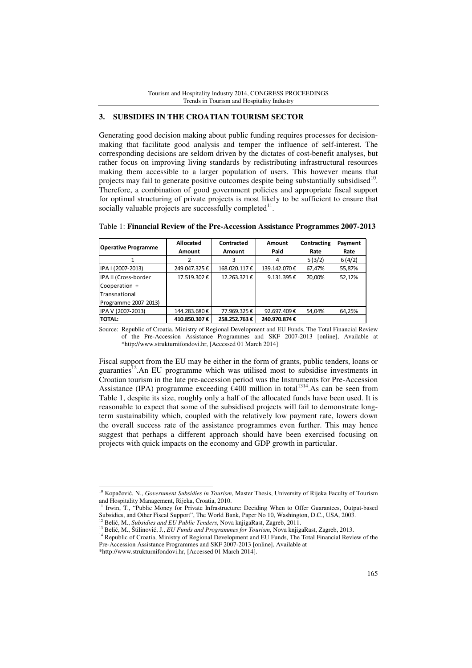## **3. SUBSIDIES IN THE CROATIAN TOURISM SECTOR**

Generating good decision making about public funding requires processes for decisionmaking that facilitate good analysis and temper the influence of self-interest. The corresponding decisions are seldom driven by the dictates of cost-benefit analyses, but rather focus on improving living standards by redistributing infrastructural resources making them accessible to a larger population of users. This however means that projects may fail to generate positive outcomes despite being substantially subsidised<sup>10</sup>. Therefore, a combination of good government policies and appropriate fiscal support for optimal structuring of private projects is most likely to be sufficient to ensure that socially valuable projects are successfully completed $11$ .

| <b>Operative Programme</b> | Allocated     | Contracted   | Amount       | <b>Contracting</b> | Payment |
|----------------------------|---------------|--------------|--------------|--------------------|---------|
|                            | <b>Amount</b> | Amount       | Paid         | Rate               | Rate    |
|                            |               | 3            | 4            | 5(3/2)             | 6(4/2)  |
| IPA I (2007-2013)          | 249.047.325€  | 168.020.117€ | 139.142.070€ | 67,47%             | 55,87%  |
| IPA II (Cross-border       | 17.519.302€   | 12.263.321€  | 9.131.395€   | 70.00%             | 52,12%  |
| Cooperation +              |               |              |              |                    |         |
| Transnational              |               |              |              |                    |         |
| Programme 2007-2013)       |               |              |              |                    |         |
| IPA V (2007-2013)          | 144.283.680€  | 77.969.325€  | 92.697.409€  | 54,04%             | 64,25%  |
| <b>TOTAL:</b>              | 410.850.307€  | 258.252.763€ | 240.970.874€ |                    |         |

Table 1: **Financial Review of the Pre-Accession Assistance Programmes 2007-2013** 

Source: Republic of Croatia, Ministry of Regional Development and EU Funds, The Total Financial Review of the Pre-Accession Assistance Programmes and SKF 2007-2013 [online], Available at \*http://www.strukturnifondovi.hr, [Accessed 01 March 2014]

Fiscal support from the EU may be either in the form of grants, public tenders, loans or guaranties<sup>12</sup>. An EU programme which was utilised most to subsidise investments in Croatian tourism in the late pre-accession period was the Instruments for Pre-Accession Assistance (IPA) programme exceeding  $\epsilon$ 400 million in total<sup>1314</sup>. As can be seen from Table 1, despite its size, roughly only a half of the allocated funds have been used. It is reasonable to expect that some of the subsidised projects will fail to demonstrate longterm sustainability which, coupled with the relatively low payment rate, lowers down the overall success rate of the assistance programmes even further. This may hence suggest that perhaps a different approach should have been exercised focusing on projects with quick impacts on the economy and GDP growth in particular.

l

<sup>10</sup> Kopačević, N., *Government Subsidies in Tourism*, Master Thesis, University of Rijeka Faculty of Tourism and Hospitality Management, Rijeka, Croatia, 2010.

Irwin, T., "Public Money for Private Infrastructure: Deciding When to Offer Guarantees, Output-based Subsidies, and Other Fiscal Support", The World Bank, Paper No 10, Washington, D.C., USA, 2003.

<sup>12</sup> Belić, M., *Subsidies and EU Public Tenders*, Nova knjigaRast, Zagreb, 2011.

<sup>&</sup>lt;sup>13</sup> Belić, M., Štilinović, J., *EU Funds and Programmes for Tourism*, Nova knjigaRast, Zagreb, 2013.

<sup>&</sup>lt;sup>14</sup> Republic of Croatia, Ministry of Regional Development and EU Funds, The Total Financial Review of the Pre-Accession Assistance Programmes and SKF 2007-2013 [online], Available at

<sup>\*</sup>http://www.strukturnifondovi.hr, [Accessed 01 March 2014].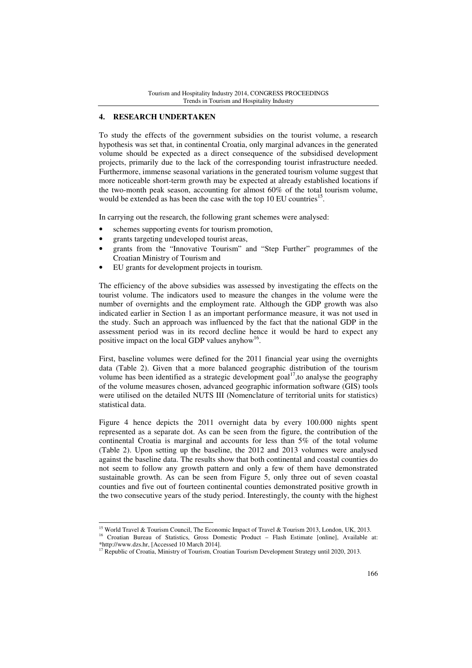## **4. RESEARCH UNDERTAKEN**

To study the effects of the government subsidies on the tourist volume, a research hypothesis was set that, in continental Croatia, only marginal advances in the generated volume should be expected as a direct consequence of the subsidised development projects, primarily due to the lack of the corresponding tourist infrastructure needed. Furthermore, immense seasonal variations in the generated tourism volume suggest that more noticeable short-term growth may be expected at already established locations if the two-month peak season, accounting for almost 60% of the total tourism volume, would be extended as has been the case with the top 10 EU countries<sup>15</sup>.

In carrying out the research, the following grant schemes were analysed:

- schemes supporting events for tourism promotion,
- grants targeting undeveloped tourist areas,

l

- grants from the "Innovative Tourism" and "Step Further" programmes of the Croatian Ministry of Tourism and
- EU grants for development projects in tourism.

The efficiency of the above subsidies was assessed by investigating the effects on the tourist volume. The indicators used to measure the changes in the volume were the number of overnights and the employment rate. Although the GDP growth was also indicated earlier in Section 1 as an important performance measure, it was not used in the study. Such an approach was influenced by the fact that the national GDP in the assessment period was in its record decline hence it would be hard to expect any positive impact on the local GDP values anyhow<sup>16</sup>.

First, baseline volumes were defined for the 2011 financial year using the overnights data (Table 2). Given that a more balanced geographic distribution of the tourism volume has been identified as a strategic development goal<sup>17</sup>, to analyse the geography of the volume measures chosen, advanced geographic information software (GIS) tools were utilised on the detailed NUTS III (Nomenclature of territorial units for statistics) statistical data.

Figure 4 hence depicts the 2011 overnight data by every 100.000 nights spent represented as a separate dot. As can be seen from the figure, the contribution of the continental Croatia is marginal and accounts for less than 5% of the total volume (Table 2). Upon setting up the baseline, the 2012 and 2013 volumes were analysed against the baseline data. The results show that both continental and coastal counties do not seem to follow any growth pattern and only a few of them have demonstrated sustainable growth. As can be seen from Figure 5, only three out of seven coastal counties and five out of fourteen continental counties demonstrated positive growth in the two consecutive years of the study period. Interestingly, the county with the highest

<sup>&</sup>lt;sup>15</sup> World Travel & Tourism Council, The Economic Impact of Travel & Tourism 2013, London, UK, 2013.

<sup>16</sup> Croatian Bureau of Statistics, Gross Domestic Product – Flash Estimate [online], Available at: \*http://www.dzs.hr, [Accessed 10 March 2014].

<sup>&</sup>lt;sup>17</sup> Republic of Croatia, Ministry of Tourism, Croatian Tourism Development Strategy until 2020, 2013.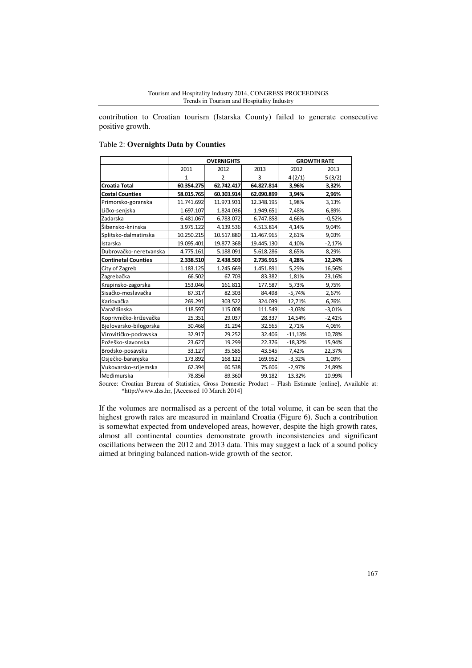#### Tourism and Hospitality Industry 2014, CONGRESS PROCEEDINGS Trends in Tourism and Hospitality Industry

contribution to Croatian tourism (Istarska County) failed to generate consecutive positive growth.

#### Table 2: **Overnights Data by Counties**

|                            | <b>OVERNIGHTS</b> |               |            | <b>GROWTH RATE</b> |          |
|----------------------------|-------------------|---------------|------------|--------------------|----------|
|                            | 2011              | 2012          | 2013       | 2012               | 2013     |
|                            | 1                 | $\mathcal{P}$ | 3          | 4(2/1)             | 5(3/2)   |
| <b>Croatia Total</b>       | 60.354.275        | 62.742.417    | 64.827.814 | 3,96%              | 3,32%    |
| <b>Costal Counties</b>     | 58.015.765        | 60.303.914    | 62.090.899 | 3,94%              | 2,96%    |
| Primorsko-goranska         | 11.741.692        | 11.973.931    | 12.348.195 | 1,98%              | 3,13%    |
| Ličko-senjska              | 1.697.107         | 1.824.036     | 1.949.651  | 7,48%              | 6,89%    |
| Zadarska                   | 6.481.067         | 6.783.072     | 6.747.858  | 4,66%              | $-0,52%$ |
| Šibensko-kninska           | 3.975.122         | 4.139.536     | 4.513.814  | 4,14%              | 9,04%    |
| Splitsko-dalmatinska       | 10.250.215        | 10.517.880    | 11.467.965 | 2,61%              | 9,03%    |
| Istarska                   | 19.095.401        | 19.877.368    | 19.445.130 | 4,10%              | $-2,17%$ |
| Dubrovačko-neretvanska     | 4.775.161         | 5.188.091     | 5.618.286  | 8,65%              | 8,29%    |
| <b>Continetal Counties</b> | 2.338.510         | 2.438.503     | 2.736.915  | 4,28%              | 12,24%   |
| City of Zagreb             | 1.183.125         | 1.245.669     | 1.451.891  | 5,29%              | 16,56%   |
| Zagrebačka                 | 66.502            | 67.703        | 83.382     | 1,81%              | 23,16%   |
| Krapinsko-zagorska         | 153.046           | 161.811       | 177.587    | 5,73%              | 9,75%    |
| Sisačko-moslavačka         | 87.317            | 82.303        | 84.498     | $-5,74%$           | 2,67%    |
| Karlovačka                 | 269.291           | 303.522       | 324.039    | 12,71%             | 6,76%    |
| Varaždinska                | 118.597           | 115.008       | 111.549    | $-3,03%$           | $-3,01%$ |
| Koprivničko-križevačka     | 25.351            | 29.037        | 28.337     | 14,54%             | $-2,41%$ |
| Bjelovarsko-bilogorska     | 30.468            | 31.294        | 32.565     | 2,71%              | 4,06%    |
| Virovitičko-podravska      | 32.917            | 29.252        | 32.406     | $-11,13%$          | 10,78%   |
| Požeško-slavonska          | 23.627            | 19.299        | 22.376     | $-18,32%$          | 15,94%   |
| Brodsko-posavska           | 33.127            | 35.585        | 43.545     | 7,42%              | 22,37%   |
| Osječko-baranjska          | 173.892           | 168.122       | 169.952    | $-3,32%$           | 1,09%    |
| Vukovarsko-srijemska       | 62.394            | 60.538        | 75.606     | $-2,97%$           | 24,89%   |
| Međimurska                 | 78.856            | 89.360        | 99.182     | 13.32%             | 10.99%   |

Source: Croatian Bureau of Statistics, Gross Domestic Product – Flash Estimate [online], Available at: \*http://www.dzs.hr, [Accessed 10 March 2014]

If the volumes are normalised as a percent of the total volume, it can be seen that the highest growth rates are measured in mainland Croatia (Figure 6). Such a contribution is somewhat expected from undeveloped areas, however, despite the high growth rates, almost all continental counties demonstrate growth inconsistencies and significant oscillations between the 2012 and 2013 data. This may suggest a lack of a sound policy aimed at bringing balanced nation-wide growth of the sector.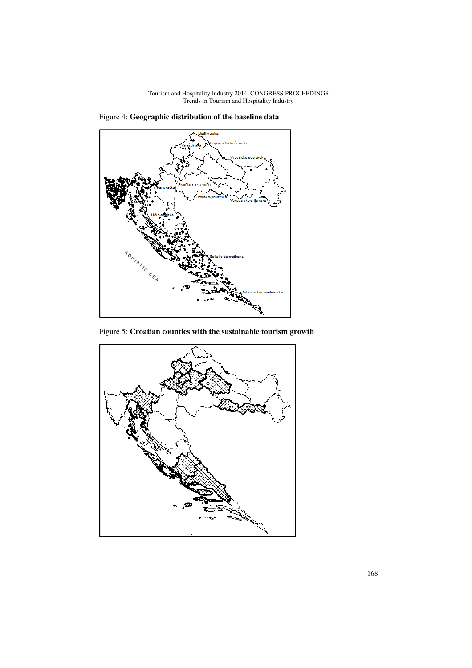

Figure 4: **Geographic distribution of the baseline data**

Figure 5: **Croatian counties with the sustainable tourism growth**

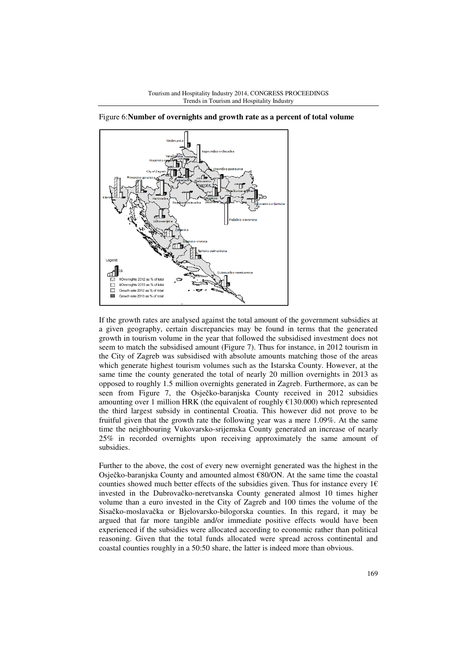

Figure 6:**Number of overnights and growth rate as a percent of total volume**

If the growth rates are analysed against the total amount of the government subsidies at a given geography, certain discrepancies may be found in terms that the generated growth in tourism volume in the year that followed the subsidised investment does not seem to match the subsidised amount (Figure 7). Thus for instance, in 2012 tourism in the City of Zagreb was subsidised with absolute amounts matching those of the areas which generate highest tourism volumes such as the Istarska County. However, at the same time the county generated the total of nearly 20 million overnights in 2013 as opposed to roughly 1.5 million overnights generated in Zagreb. Furthermore, as can be seen from Figure 7, the Osječko-baranjska County received in 2012 subsidies amounting over 1 million HRK (the equivalent of roughly  $\text{\textsterling}130.000$ ) which represented the third largest subsidy in continental Croatia. This however did not prove to be fruitful given that the growth rate the following year was a mere 1.09%. At the same time the neighbouring Vukovarsko-srijemska County generated an increase of nearly 25% in recorded overnights upon receiving approximately the same amount of subsidies.

Further to the above, the cost of every new overnight generated was the highest in the Osječko-baranjska County and amounted almost €80/ON. At the same time the coastal counties showed much better effects of the subsidies given. Thus for instance every  $1 \in$ invested in the Dubrovačko-neretvanska County generated almost 10 times higher volume than a euro invested in the City of Zagreb and 100 times the volume of the Sisačko-moslavačka or Bjelovarsko-bilogorska counties. In this regard, it may be argued that far more tangible and/or immediate positive effects would have been experienced if the subsidies were allocated according to economic rather than political reasoning. Given that the total funds allocated were spread across continental and coastal counties roughly in a 50:50 share, the latter is indeed more than obvious.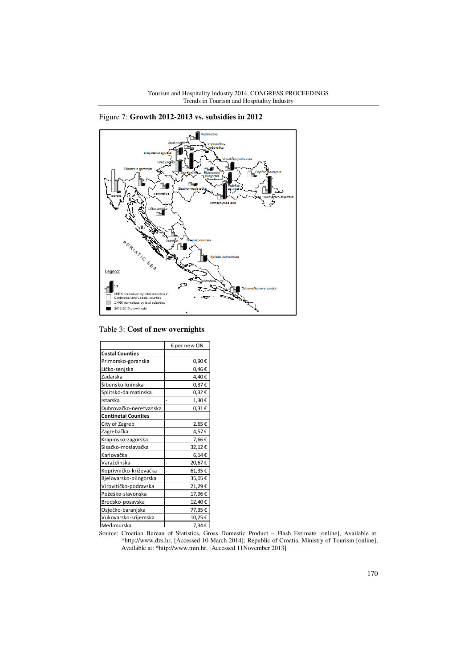

Figure 7: **Growth 2012-2013 vs. subsidies in 2012**

Table 3: **Cost of new overnights** 

|                            | € per new ON |  |  |
|----------------------------|--------------|--|--|
| <b>Costal Counties</b>     |              |  |  |
| Primorsko-goranska         | 0,90€        |  |  |
| Ličko-senjska              | 0,46€        |  |  |
| Zadarska                   | 4,40€        |  |  |
| Šibensko-kninska           | 0,37€        |  |  |
| Splitsko-dalmatinska       | 0,32€        |  |  |
| Istarska                   | 1,30€        |  |  |
| Dubrovačko-neretvanska     | $0,31 \in$   |  |  |
| <b>Continetal Counties</b> |              |  |  |
| City of Zagreb             | 2,65€        |  |  |
| Zagrebačka                 | 4,57€        |  |  |
| Krapinsko-zagorska         | 7,66€        |  |  |
| Sisačko-moslavačka         | 32,12€       |  |  |
| Karlovačka                 | $6,14 \in$   |  |  |
| Varaždinska                | 20,67€       |  |  |
| Koprivničko-križevačka     | 61,35€       |  |  |
| Bjelovarsko-bilogorska     | 35,05€       |  |  |
| Virovitičko-podravska      | 21,29€       |  |  |
| Požeško-slavonska          | 17,96€       |  |  |
| Brodsko-posavska           | 12,40€       |  |  |
| Osječko-baranjska          | 77,35€       |  |  |
| Vukovarsko-srijemska       | 10,25€       |  |  |
| Međimurska                 | 7.34€        |  |  |

Source: Croatian Bureau of Statistics, Gross Domestic Product – Flash Estimate [online], Available at: \*http://www.dzs.hr, [Accessed 10 March 2014]; Republic of Croatia, Ministry of Tourism [online], Available at: \*http://www.min.hr, [Accessed 11November 2013]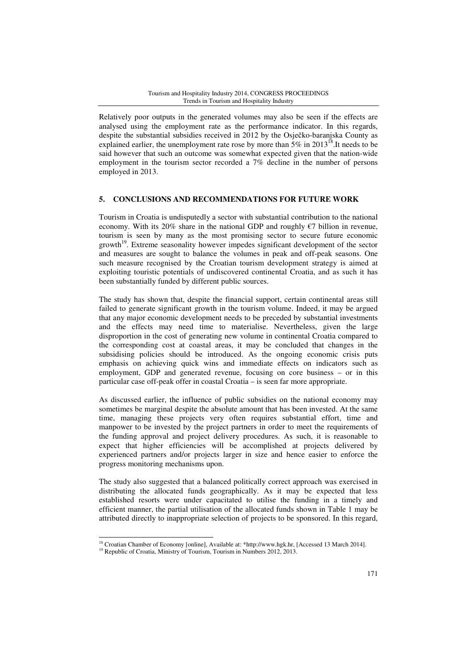Relatively poor outputs in the generated volumes may also be seen if the effects are analysed using the employment rate as the performance indicator. In this regards, despite the substantial subsidies received in 2012 by the Osječko-baranjska County as explained earlier, the unemployment rate rose by more than  $5\%$  in 2013<sup>18</sup>.It needs to be said however that such an outcome was somewhat expected given that the nation-wide employment in the tourism sector recorded a 7% decline in the number of persons employed in 2013.

## **5. CONCLUSIONS AND RECOMMENDATIONS FOR FUTURE WORK**

Tourism in Croatia is undisputedly a sector with substantial contribution to the national economy. With its 20% share in the national GDP and roughly  $\epsilon$ 7 billion in revenue, tourism is seen by many as the most promising sector to secure future economic growth<sup>19</sup>. Extreme seasonality however impedes significant development of the sector and measures are sought to balance the volumes in peak and off-peak seasons. One such measure recognised by the Croatian tourism development strategy is aimed at exploiting touristic potentials of undiscovered continental Croatia, and as such it has been substantially funded by different public sources.

The study has shown that, despite the financial support, certain continental areas still failed to generate significant growth in the tourism volume. Indeed, it may be argued that any major economic development needs to be preceded by substantial investments and the effects may need time to materialise. Nevertheless, given the large disproportion in the cost of generating new volume in continental Croatia compared to the corresponding cost at coastal areas, it may be concluded that changes in the subsidising policies should be introduced. As the ongoing economic crisis puts emphasis on achieving quick wins and immediate effects on indicators such as employment, GDP and generated revenue, focusing on core business – or in this particular case off-peak offer in coastal Croatia – is seen far more appropriate.

As discussed earlier, the influence of public subsidies on the national economy may sometimes be marginal despite the absolute amount that has been invested. At the same time, managing these projects very often requires substantial effort, time and manpower to be invested by the project partners in order to meet the requirements of the funding approval and project delivery procedures. As such, it is reasonable to expect that higher efficiencies will be accomplished at projects delivered by experienced partners and/or projects larger in size and hence easier to enforce the progress monitoring mechanisms upon.

The study also suggested that a balanced politically correct approach was exercised in distributing the allocated funds geographically. As it may be expected that less established resorts were under capacitated to utilise the funding in a timely and efficient manner, the partial utilisation of the allocated funds shown in Table 1 may be attributed directly to inappropriate selection of projects to be sponsored. In this regard,

l

<sup>&</sup>lt;sup>18</sup> Croatian Chamber of Economy [online], Available at: \*http://www.hgk.hr, [Accessed 13 March 2014].

<sup>&</sup>lt;sup>19</sup> Republic of Croatia, Ministry of Tourism, Tourism in Numbers 2012, 2013.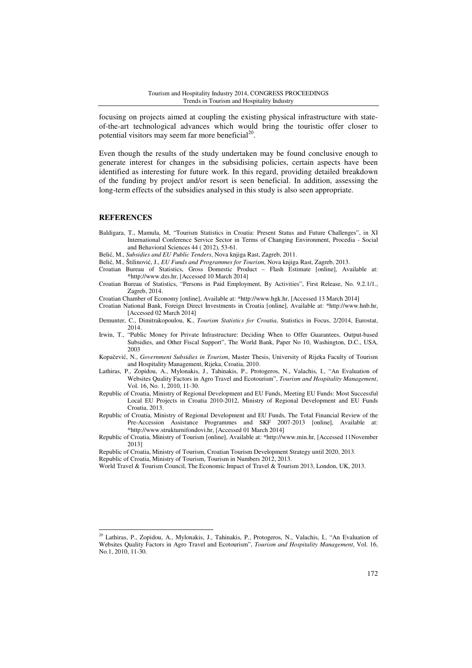focusing on projects aimed at coupling the existing physical infrastructure with stateof-the-art technological advances which would bring the touristic offer closer to potential visitors may seem far more beneficial $^{20}$ .

Even though the results of the study undertaken may be found conclusive enough to generate interest for changes in the subsidising policies, certain aspects have been identified as interesting for future work. In this regard, providing detailed breakdown of the funding by project and/or resort is seen beneficial. In addition, assessing the long-term effects of the subsidies analysed in this study is also seen appropriate.

#### **REFERENCES**

l

- Baldigara, T., Mamula, M, "Tourism Statistics in Croatia: Present Status and Future Challenges", in XI International Conference Service Sector in Terms of Changing Environment, Procedia - Social and Behavioral Sciences 44 ( 2012), 53-61.
- Belić, M., *Subsidies and EU Public Tenders*, Nova knjiga Rast, Zagreb, 2011.
- Belić, M., Štilinović, J., *EU Funds and Programmes for Tourism*, Nova knjiga Rast, Zagreb, 2013.
- Croatian Bureau of Statistics, Gross Domestic Product Flash Estimate [online], Available at: \*http://www.dzs.hr, [Accessed 10 March 2014]
- Croatian Bureau of Statistics, "Persons in Paid Employment, By Activities", First Release, No. 9.2.1/1., Zagreb, 2014.
- Croatian Chamber of Economy [online], Available at: \*http://www.hgk.hr, [Accessed 13 March 2014]
- Croatian National Bank, Foreign Direct Investments in Croatia [online], Available at: \*http://www.hnb.hr, [Accessed 02 March 2014]
- Demunter, C., Dimitrakopoulou, K., *Tourism Statistics for Croatia*, Statistics in Focus, 2/2014, Eurostat, 2014.
- Irwin, T., "Public Money for Private Infrastructure: Deciding When to Offer Guarantees, Output-based Subsidies, and Other Fiscal Support", The World Bank, Paper No 10, Washington, D.C., USA, 2003
- Kopačević, N., *Government Subsidies in Tourism*, Master Thesis, University of Rijeka Faculty of Tourism and Hospitality Management, Rijeka, Croatia, 2010.
- Lathiras, P., Zopidou, A., Mylonakis, J., Tahinakis, P., Protogeros, N., Valachis, I., "An Evaluation of Websites Quality Factors in Agro Travel and Ecotourism", *Tourism and Hospitality Management*, Vol. 16, No. 1, 2010, 11-30.
- Republic of Croatia, Ministry of Regional Development and EU Funds, Meeting EU Funds: Most Successful Local EU Projects in Croatia 2010-2012, Ministry of Regional Development and EU Funds Croatia, 2013.
- Republic of Croatia, Ministry of Regional Development and EU Funds, The Total Financial Review of the Pre-Accession Assistance Programmes and SKF 2007-2013 [online], Available at: \*http://www.strukturnifondovi.hr, [Accessed 01 March 2014]
- Republic of Croatia, Ministry of Tourism [online], Available at: \*http://www.min.hr, [Accessed 11November 2013]
- Republic of Croatia, Ministry of Tourism, Croatian Tourism Development Strategy until 2020, 2013.
- Republic of Croatia, Ministry of Tourism, Tourism in Numbers 2012, 2013.
- World Travel & Tourism Council, The Economic Impact of Travel & Tourism 2013, London, UK, 2013.

<sup>20</sup> Lathiras, P., Zopidou, A., Mylonakis, J., Tahinakis, P., Protogeros, N., Valachis, I., "An Evaluation of Websites Quality Factors in Agro Travel and Ecotourism", *Tourism and Hospitality Management*, Vol. 16, No.1, 2010, 11-30.